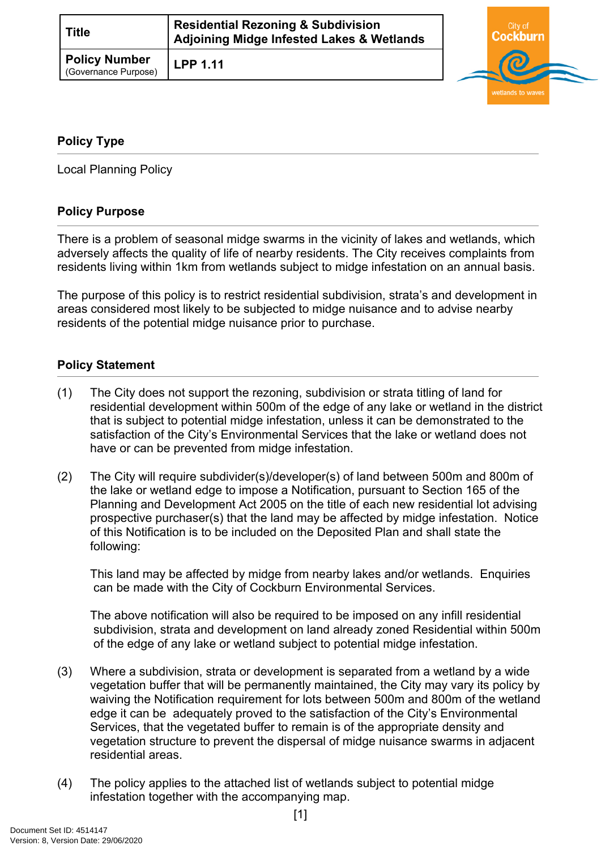| Title                                        | <b>Residential Rezoning &amp; Subdivision</b><br><b>Adjoining Midge Infested Lakes &amp; Wetlands</b> |  |
|----------------------------------------------|-------------------------------------------------------------------------------------------------------|--|
| <b>Policy Number</b><br>(Governance Purpose) | <b>LPP 1.11</b>                                                                                       |  |



#### <span id="page-0-0"></span>**[Policy Type](#page-0-0)**

Local Planning Policy

## **Policy Purpose**

There is a problem of seasonal midge swarms in the vicinity of lakes and wetlands, which adversely affects the quality of life of nearby residents. The City receives complaints from residents living within 1km from wetlands subject to midge infestation on an annual basis.

The purpose of this policy is to restrict residential subdivision, strata's and development in areas considered most likely to be subjected to midge nuisance and to advise nearby residents of the potential midge nuisance prior to purchase.

#### **Policy Statement**

- (1) The City does not support the rezoning, subdivision or strata titling of land for residential development within 500m of the edge of any lake or wetland in the district that is subject to potential midge infestation, unless it can be demonstrated to the satisfaction of the City's Environmental Services that the lake or wetland does not have or can be prevented from midge infestation.
- (2) The City will require subdivider(s)/developer(s) of land between 500m and 800m of the lake or wetland edge to impose a Notification, pursuant to Section 165 of the Planning and Development Act 2005 on the title of each new residential lot advising prospective purchaser(s) that the land may be affected by midge infestation. Notice of this Notification is to be included on the Deposited Plan and shall state the following:

This land may be affected by midge from nearby lakes and/or wetlands. Enquiries can be made with the City of Cockburn Environmental Services.

The above notification will also be required to be imposed on any infill residential subdivision, strata and development on land already zoned Residential within 500m of the edge of any lake or wetland subject to potential midge infestation.

- (3) Where a subdivision, strata or development is separated from a wetland by a wide vegetation buffer that will be permanently maintained, the City may vary its policy by waiving the Notification requirement for lots between 500m and 800m of the wetland edge it can be adequately proved to the satisfaction of the City's Environmental Services, that the vegetated buffer to remain is of the appropriate density and vegetation structure to prevent the dispersal of midge nuisance swarms in adjacent residential areas.
- (4) The policy applies to the attached list of wetlands subject to potential midge infestation together with the accompanying map.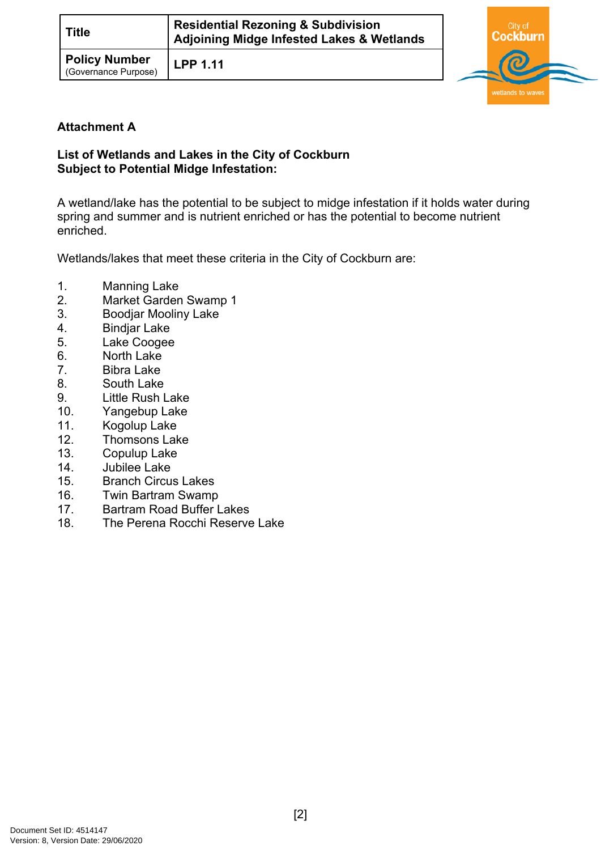| <b>Title</b>                                 | <b>Residential Rezoning &amp; Subdivision</b><br>Adjoining Midge Infested Lakes & Wetlands |  |
|----------------------------------------------|--------------------------------------------------------------------------------------------|--|
| <b>Policy Number</b><br>(Governance Purpose) | <b>LPP 1.11</b>                                                                            |  |



# **Attachment A**

## **List of Wetlands and Lakes in the City of Cockburn Subject to Potential Midge Infestation:**

A wetland/lake has the potential to be subject to midge infestation if it holds water during spring and summer and is nutrient enriched or has the potential to become nutrient enriched.

Wetlands/lakes that meet these criteria in the City of Cockburn are:

- 1. Manning Lake
- 2. Market Garden Swamp 1
- 3. Boodjar Mooliny Lake
- 4. Bindjar Lake
- 5. Lake Coogee
- 6. North Lake
- 7. Bibra Lake
- 8. South Lake
- 9. Little Rush Lake
- 10. Yangebup Lake
- 11. Kogolup Lake
- 12. Thomsons Lake
- 13. Copulup Lake
- 14. Jubilee Lake
- 15. Branch Circus Lakes
- 16. Twin Bartram Swamp
- 17. Bartram Road Buffer Lakes
- 18. The Perena Rocchi Reserve Lake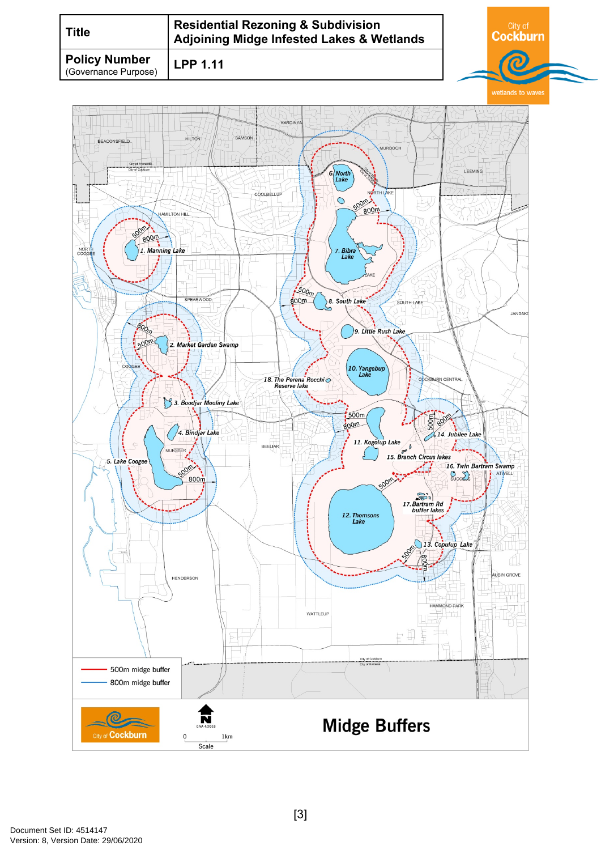| Title                                        | <b>Residential Rezoning &amp; Subdivision</b><br><b>Adjoining Midge Infested Lakes &amp; Wetlands</b> | ∩`itv of |  |
|----------------------------------------------|-------------------------------------------------------------------------------------------------------|----------|--|
| <b>Policy Number</b><br>(Governance Purpose) | <b>LPP 1.11</b>                                                                                       |          |  |